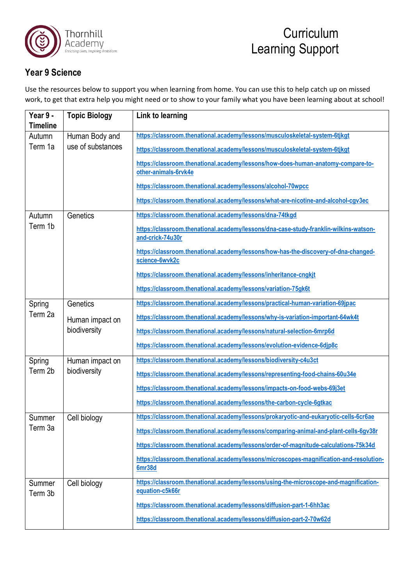

## **Year 9 Science**

Use the resources below to support you when learning from home. You can use this to help catch up on missed work, to get that extra help you might need or to show to your family what you have been learning about at school!

| Year 9 -          | <b>Topic Biology</b>            | Link to learning                                                                                          |
|-------------------|---------------------------------|-----------------------------------------------------------------------------------------------------------|
| <b>Timeline</b>   |                                 |                                                                                                           |
| Autumn            | Human Body and                  | https://classroom.thenational.academy/lessons/musculoskeletal-system-6tjkgt                               |
| Term 1a           | use of substances               | https://classroom.thenational.academy/lessons/musculoskeletal-system-6tjkgt                               |
|                   |                                 | https://classroom.thenational.academy/lessons/how-does-human-anatomy-compare-to-<br>other-animals-6rvk4e  |
|                   |                                 | https://classroom.thenational.academy/lessons/alcohol-70wpcc                                              |
|                   |                                 | https://classroom.thenational.academy/lessons/what-are-nicotine-and-alcohol-cgv3ec                        |
| Autumn            | Genetics                        | https://classroom.thenational.academy/lessons/dna-74tkgd                                                  |
| Term 1b           |                                 | https://classroom.thenational.academy/lessons/dna-case-study-franklin-wilkins-watson-<br>and-crick-74u30r |
|                   |                                 | https://classroom.thenational.academy/lessons/how-has-the-discovery-of-dna-changed-<br>science-6wvk2c     |
|                   |                                 | https://classroom.thenational.academy/lessons/inheritance-cngkit                                          |
|                   |                                 | https://classroom.thenational.academy/lessons/variation-75gk6t                                            |
| Spring            | Genetics                        | https://classroom.thenational.academy/lessons/practical-human-variation-69jpac                            |
| Term 2a           | Human impact on<br>biodiversity | https://classroom.thenational.academy/lessons/why-is-variation-important-64wk4t                           |
|                   |                                 | https://classroom.thenational.academy/lessons/natural-selection-6mrp6d                                    |
|                   |                                 | https://classroom.thenational.academy/lessons/evolution-evidence-6djp8c                                   |
| Spring            | Human impact on<br>biodiversity | https://classroom.thenational.academy/lessons/biodiversity-c4u3ct                                         |
| Term 2b           |                                 | https://classroom.thenational.academy/lessons/representing-food-chains-60u34e                             |
|                   |                                 | https://classroom.thenational.academy/lessons/impacts-on-food-webs-69j3et                                 |
|                   |                                 | https://classroom.thenational.academy/lessons/the-carbon-cycle-6gtkac                                     |
| Summer            | Cell biology                    | https://classroom.thenational.academy/lessons/prokaryotic-and-eukaryotic-cells-6cr6ae                     |
| Term 3a           |                                 | https://classroom.thenational.academy/lessons/comparing-animal-and-plant-cells-6gv38r                     |
|                   |                                 | https://classroom.thenational.academy/lessons/order-of-magnitude-calculations-75k34d                      |
|                   |                                 | https://classroom.thenational.academy/lessons/microscopes-magnification-and-resolution-<br>6mr38d         |
| Summer<br>Term 3b | Cell biology                    | https://classroom.thenational.academy/lessons/using-the-microscope-and-magnification-<br>equation-c5k66r  |
|                   |                                 | https://classroom.thenational.academy/lessons/diffusion-part-1-6hh3ac                                     |
|                   |                                 | https://classroom.thenational.academy/lessons/diffusion-part-2-70w62d                                     |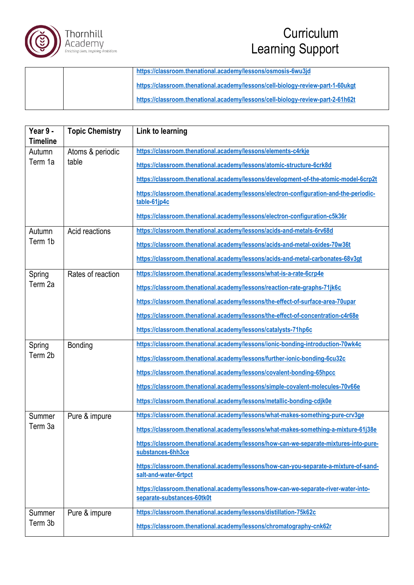

## **Curriculum** Learning Support

|  | https://classroom.thenational.academy/lessons/osmosis-6wu3jd                    |
|--|---------------------------------------------------------------------------------|
|  | https://classroom.thenational.academy/lessons/cell-biology-review-part-1-60ukgt |
|  | https://classroom.thenational.academy/lessons/cell-biology-review-part-2-61h62t |

| Year 9 -<br><b>Timeline</b> | <b>Topic Chemistry</b>    | Link to learning                                                                                                  |
|-----------------------------|---------------------------|-------------------------------------------------------------------------------------------------------------------|
| Autumn                      | Atoms & periodic<br>table | https://classroom.thenational.academy/lessons/elements-c4rkje                                                     |
| Term 1a                     |                           | https://classroom.thenational.academy/lessons/atomic-structure-6crk8d                                             |
|                             |                           | https://classroom.thenational.academy/lessons/development-of-the-atomic-model-6crp2t                              |
|                             |                           | https://classroom.thenational.academy/lessons/electron-configuration-and-the-periodic-<br>table-61jp4c            |
|                             |                           | https://classroom.thenational.academy/lessons/electron-configuration-c5k36r                                       |
| Autumn                      | Acid reactions            | https://classroom.thenational.academy/lessons/acids-and-metals-6rv68d                                             |
| Term 1b                     |                           | https://classroom.thenational.academy/lessons/acids-and-metal-oxides-70w36t                                       |
|                             |                           | https://classroom.thenational.academy/lessons/acids-and-metal-carbonates-68v3gt                                   |
| Spring                      | Rates of reaction         | https://classroom.thenational.academy/lessons/what-is-a-rate-6crp4e                                               |
| Term 2a                     |                           | https://classroom.thenational.academy/lessons/reaction-rate-graphs-71jk6c                                         |
|                             |                           | https://classroom.thenational.academy/lessons/the-effect-of-surface-area-70upar                                   |
|                             |                           | https://classroom.thenational.academy/lessons/the-effect-of-concentration-c4r68e                                  |
|                             |                           | https://classroom.thenational.academy/lessons/catalysts-71hp6c                                                    |
| Spring                      | Bonding                   | https://classroom.thenational.academy/lessons/ionic-bonding-introduction-70wk4c                                   |
| Term 2b                     |                           | https://classroom.thenational.academy/lessons/further-ionic-bonding-6cu32c                                        |
|                             |                           | https://classroom.thenational.academy/lessons/covalent-bonding-65hpcc                                             |
|                             |                           | https://classroom.thenational.academy/lessons/simple-covalent-molecules-70v66e                                    |
|                             |                           | https://classroom.thenational.academy/lessons/metallic-bonding-cdjk0e                                             |
| Summer                      | Pure & impure             | https://classroom.thenational.academy/lessons/what-makes-something-pure-crv3ge                                    |
| Term 3a                     |                           | https://classroom.thenational.academy/lessons/what-makes-something-a-mixture-61j38e                               |
|                             |                           | https://classroom.thenational.academy/lessons/how-can-we-separate-mixtures-into-pure-<br>substances-6hh3ce        |
|                             |                           | https://classroom.thenational.academy/lessons/how-can-you-separate-a-mixture-of-sand-<br>salt-and-water-6rtpct    |
|                             |                           | https://classroom.thenational.academy/lessons/how-can-we-separate-river-water-into-<br>separate-substances-60tk0t |
| Summer                      | Pure & impure             | https://classroom.thenational.academy/lessons/distillation-75k62c                                                 |
| Term 3b                     |                           | https://classroom.thenational.academy/lessons/chromatography-cnk62r                                               |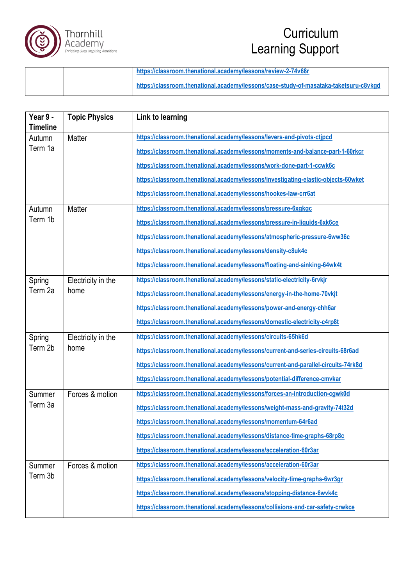

## **Curriculum** Learning Support

|  | https://classroom.thenational.academy/lessons/review-2-74v68r                         |
|--|---------------------------------------------------------------------------------------|
|  | https://classroom.thenational.academy/lessons/case-study-of-masataka-taketsuru-c8vkgd |

| Year 9 -<br><b>Timeline</b> | <b>Topic Physics</b>       | Link to learning                                                                   |
|-----------------------------|----------------------------|------------------------------------------------------------------------------------|
| Autumn                      | Matter                     | https://classroom.thenational.academy/lessons/levers-and-pivots-ctipcd             |
| Term 1a                     |                            | https://classroom.thenational.academy/lessons/moments-and-balance-part-1-60rkcr    |
|                             |                            | https://classroom.thenational.academy/lessons/work-done-part-1-ccwk6c              |
|                             |                            | https://classroom.thenational.academy/lessons/investigating-elastic-objects-60wket |
|                             |                            | https://classroom.thenational.academy/lessons/hookes-law-crr6at                    |
| Autumn                      | Matter                     | https://classroom.thenational.academy/lessons/pressure-6xgkgc                      |
| Term 1b                     |                            | https://classroom.thenational.academy/lessons/pressure-in-liquids-6xk6ce           |
|                             |                            | https://classroom.thenational.academy/lessons/atmospheric-pressure-6ww36c          |
|                             |                            | https://classroom.thenational.academy/lessons/density-c8uk4c                       |
|                             |                            | https://classroom.thenational.academy/lessons/floating-and-sinking-64wk4t          |
| Spring                      | Electricity in the         | https://classroom.thenational.academy/lessons/static-electricity-6rvkir            |
| Term 2a                     | home                       | https://classroom.thenational.academy/lessons/energy-in-the-home-70vkjt            |
|                             |                            | https://classroom.thenational.academy/lessons/power-and-energy-chh6ar              |
|                             |                            | https://classroom.thenational.academy/lessons/domestic-electricity-c4rp8t          |
| Spring                      | Electricity in the<br>home | https://classroom.thenational.academy/lessons/circuits-65hk6d                      |
| Term 2b                     |                            | https://classroom.thenational.academy/lessons/current-and-series-circuits-68r6ad   |
|                             |                            | https://classroom.thenational.academy/lessons/current-and-parallel-circuits-74rk8d |
|                             |                            | https://classroom.thenational.academy/lessons/potential-difference-cmvkar          |
| Summer                      | Forces & motion            | https://classroom.thenational.academy/lessons/forces-an-introduction-cgwk0d        |
| Term 3a                     |                            | https://classroom.thenational.academy/lessons/weight-mass-and-gravity-74t32d       |
|                             |                            | https://classroom.thenational.academy/lessons/momentum-64r6ad                      |
|                             |                            | https://classroom.thenational.academy/lessons/distance-time-graphs-68rp8c          |
|                             |                            | https://classroom.thenational.academy/lessons/acceleration-60r3ar                  |
| Summer                      | Forces & motion            | https://classroom.thenational.academy/lessons/acceleration-60r3ar                  |
| Term 3b                     |                            | https://classroom.thenational.academy/lessons/velocity-time-graphs-6wr3gr          |
|                             |                            | https://classroom.thenational.academy/lessons/stopping-distance-6wvk4c             |
|                             |                            | https://classroom.thenational.academy/lessons/collisions-and-car-safety-crwkce     |